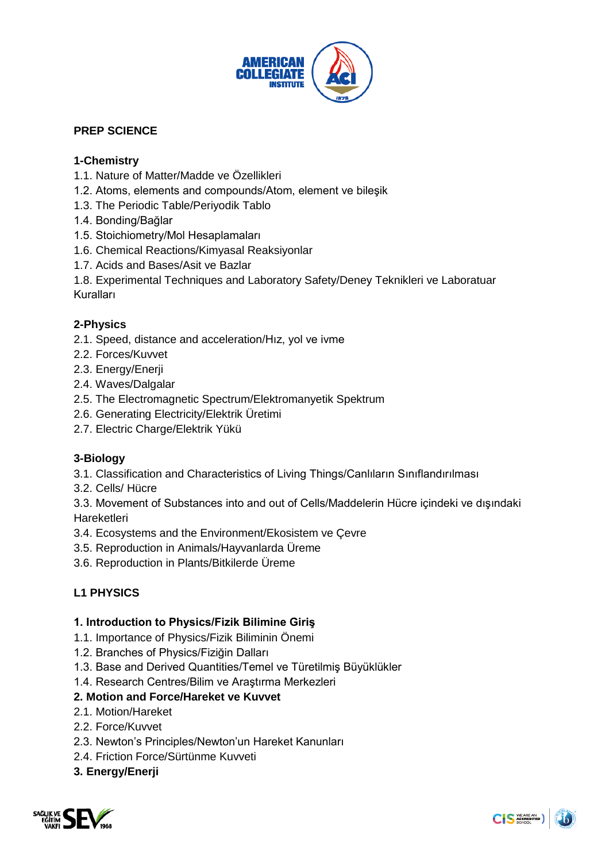

## **PREP SCIENCE**

## **1-Chemistry**

- 1.1. Nature of Matter/Madde ve Özellikleri
- 1.2. Atoms, elements and compounds/Atom, element ve bileşik
- 1.3. The Periodic Table/Periyodik Tablo
- 1.4. Bonding/Bağlar
- 1.5. Stoichiometry/Mol Hesaplamaları
- 1.6. Chemical Reactions/Kimyasal Reaksiyonlar
- 1.7. Acids and Bases/Asit ve Bazlar

1.8. Experimental Techniques and Laboratory Safety/Deney Teknikleri ve Laboratuar Kuralları

#### **2-Physics**

- 2.1. Speed, distance and acceleration/Hız, yol ve ivme
- 2.2. Forces/Kuvvet
- 2.3. Energy/Enerji
- 2.4. Waves/Dalgalar
- 2.5. The Electromagnetic Spectrum/Elektromanyetik Spektrum
- 2.6. Generating Electricity/Elektrik Üretimi
- 2.7. Electric Charge/Elektrik Yükü

#### **3-Biology**

- 3.1. Classification and Characteristics of Living Things/Canlıların Sınıflandırılması
- 3.2. Cells/ Hücre

3.3. Movement of Substances into and out of Cells/Maddelerin Hücre içindeki ve dışındaki Hareketleri

- 3.4. Ecosystems and the Environment/Ekosistem ve Çevre
- 3.5. Reproduction in Animals/Hayvanlarda Üreme
- 3.6. Reproduction in Plants/Bitkilerde Üreme

## **L1 PHYSICS**

#### **1. Introduction to Physics/Fizik Bilimine Giriş**

- 1.1. Importance of Physics/Fizik Biliminin Önemi
- 1.2. Branches of Physics/Fiziğin Dalları
- 1.3. Base and Derived Quantities/Temel ve Türetilmiş Büyüklükler
- 1.4. Research Centres/Bilim ve Araştırma Merkezleri

## **2. Motion and Force/Hareket ve Kuvvet**

- 2.1. Motion/Hareket
- 2.2. Force/Kuvvet
- 2.3. Newton's Principles/Newton'un Hareket Kanunları
- 2.4. Friction Force/Sürtünme Kuvveti

#### **3. Energy/Enerji**

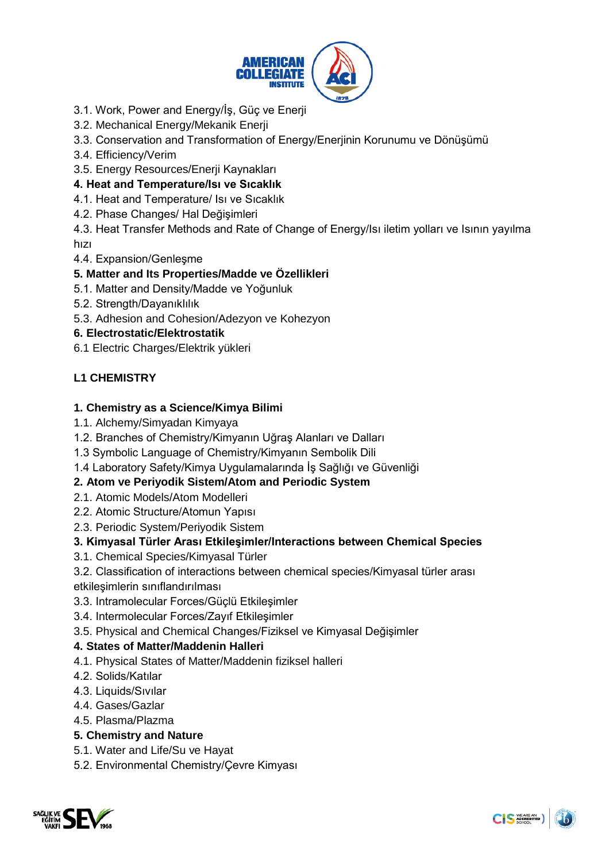

- 3.1. Work, Power and Energy/İş, Güç ve Enerji
- 3.2. Mechanical Energy/Mekanik Enerji
- 3.3. Conservation and Transformation of Energy/Enerjinin Korunumu ve Dönüşümü
- 3.4. Efficiency/Verim
- 3.5. Energy Resources/Enerji Kaynakları

## **4. Heat and Temperature/Isı ve Sıcaklık**

- 4.1. Heat and Temperature/ Isı ve Sıcaklık
- 4.2. Phase Changes/ Hal Değişimleri
- 4.3. Heat Transfer Methods and Rate of Change of Energy/Isı iletim yolları ve Isının yayılma hızı
- 4.4. Expansion/Genleşme

## **5. Matter and Its Properties/Madde ve Özellikleri**

- 5.1. Matter and Density/Madde ve Yoğunluk
- 5.2. Strength/Dayanıklılık
- 5.3. Adhesion and Cohesion/Adezyon ve Kohezyon

## **6. Electrostatic/Elektrostatik**

6.1 Electric Charges/Elektrik yükleri

# **L1 CHEMISTRY**

## **1. Chemistry as a Science/Kimya Bilimi**

- 1.1. Alchemy/Simyadan Kimyaya
- 1.2. Branches of Chemistry/Kimyanın Uğraş Alanları ve Dalları
- 1.3 Symbolic Language of Chemistry/Kimyanın Sembolik Dili
- 1.4 Laboratory Safety/Kimya Uygulamalarında İş Sağlığı ve Güvenliği

## **2. Atom ve Periyodik Sistem/Atom and Periodic System**

- 2.1. Atomic Models/Atom Modelleri
- 2.2. Atomic Structure/Atomun Yapısı
- 2.3. Periodic System/Periyodik Sistem

## **3. Kimyasal Türler Arası Etkileşimler/Interactions between Chemical Species**

- 3.1. Chemical Species/Kimyasal Türler
- 3.2. Classification of interactions between chemical species/Kimyasal türler arası
- etkileşimlerin sınıflandırılması
- 3.3. Intramolecular Forces/Güçlü Etkileşimler
- 3.4. Intermolecular Forces/Zayıf Etkileşimler
- 3.5. Physical and Chemical Changes/Fiziksel ve Kimyasal Değişimler

## **4. States of Matter/Maddenin Halleri**

- 4.1. Physical States of Matter/Maddenin fiziksel halleri
- 4.2. Solids/Katılar
- 4.3. Liquids/Sıvılar
- 4.4. Gases/Gazlar
- 4.5. Plasma/Plazma

# **5. Chemistry and Nature**

- 5.1. Water and Life/Su ve Hayat
- 5.2. Environmental Chemistry/Çevre Kimyası

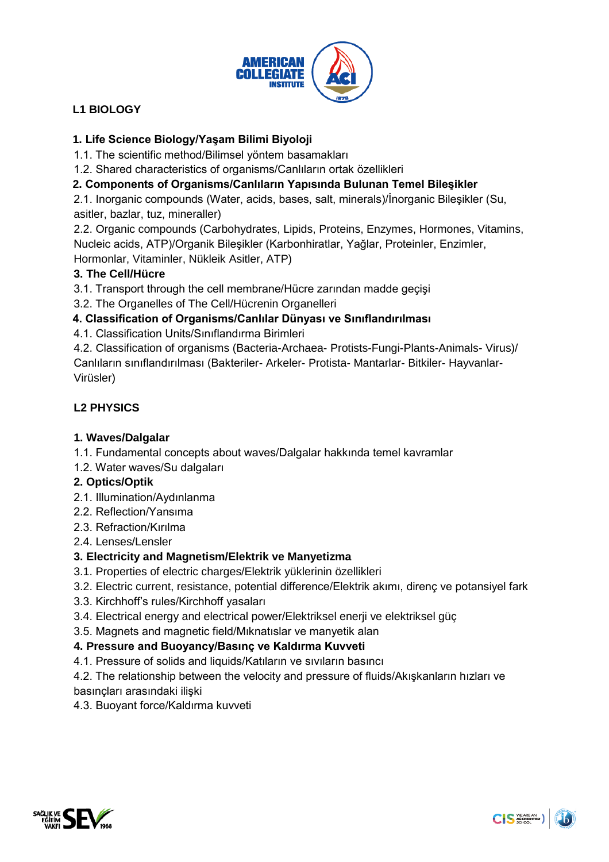

# **L1 BIOLOGY**

# **1. Life Science Biology/Yaşam Bilimi Biyoloji**

- 1.1. The scientific method/Bilimsel yöntem basamakları
- 1.2. Shared characteristics of organisms/Canlıların ortak özellikleri

# **2. Components of Organisms/Canlıların Yapısında Bulunan Temel Bileşikler**

2.1. Inorganic compounds (Water, acids, bases, salt, minerals)/İnorganic Bileşikler (Su, asitler, bazlar, tuz, mineraller)

2.2. Organic compounds (Carbohydrates, Lipids, Proteins, Enzymes, Hormones, Vitamins, Nucleic acids, ATP)/Organik Bileşikler (Karbonhiratlar, Yağlar, Proteinler, Enzimler, Hormonlar, Vitaminler, Nükleik Asitler, ATP)

## **3. The Cell/Hücre**

3.1. Transport through the cell membrane/Hücre zarından madde geçişi

3.2. The Organelles of The Cell/Hücrenin Organelleri

## **4. Classification of Organisms/Canlılar Dünyası ve Sınıflandırılması**

4.1. Classification Units/Sınıflandırma Birimleri

4.2. Classification of organisms (Bacteria-Archaea- Protists-Fungi-Plants-Animals- Virus)/ Canlıların sınıflandırılması (Bakteriler- Arkeler- Protista- Mantarlar- Bitkiler- Hayvanlar-Virüsler)

# **L2 PHYSICS**

## **1. Waves/Dalgalar**

1.1. Fundamental concepts about waves/Dalgalar hakkında temel kavramlar

1.2. Water waves/Su dalgaları

# **2. Optics/Optik**

- 2.1. Illumination/Aydınlanma
- 2.2. Reflection/Yansıma
- 2.3. Refraction/Kırılma
- 2.4. Lenses/Lensler

## **3. Electricity and Magnetism/Elektrik ve Manyetizma**

- 3.1. Properties of electric charges/Elektrik yüklerinin özellikleri
- 3.2. Electric current, resistance, potential difference/Elektrik akımı, direnç ve potansiyel fark
- 3.3. Kirchhoff's rules/Kirchhoff yasaları
- 3.4. Electrical energy and electrical power/Elektriksel enerji ve elektriksel güç
- 3.5. Magnets and magnetic field/Mıknatıslar ve manyetik alan

## **4. Pressure and Buoyancy/Basınç ve Kaldırma Kuvveti**

4.1. Pressure of solids and liquids/Katıların ve sıvıların basıncı

4.2. The relationship between the velocity and pressure of fluids/Akışkanların hızları ve basınçları arasındaki ilişki

4.3. Buoyant force/Kaldırma kuvveti

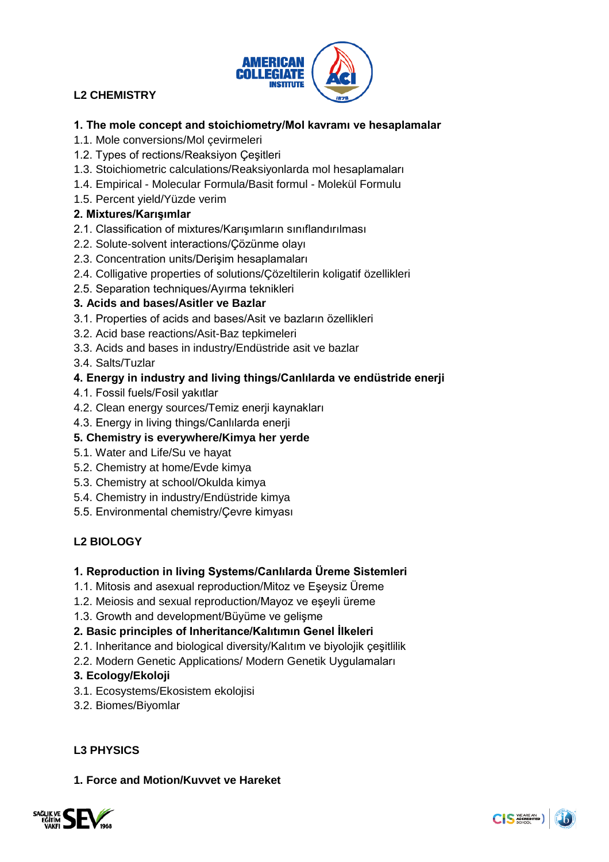

# **L2 CHEMISTRY**

## **1. The mole concept and stoichiometry/Mol kavramı ve hesaplamalar**

- 1.1. Mole conversions/Mol çevirmeleri
- 1.2. Types of rections/Reaksiyon Çeşitleri
- 1.3. Stoichiometric calculations/Reaksiyonlarda mol hesaplamaları
- 1.4. Empirical Molecular Formula/Basit formul Molekül Formulu
- 1.5. Percent yield/Yüzde verim

## **2. Mixtures/Karışımlar**

- 2.1. Classification of mixtures/Karışımların sınıflandırılması
- 2.2. Solute-solvent interactions/Çözünme olayı
- 2.3. Concentration units/Derişim hesaplamaları
- 2.4. Colligative properties of solutions/Çözeltilerin koligatif özellikleri
- 2.5. Separation techniques/Ayırma teknikleri

#### **3. Acids and bases/Asitler ve Bazlar**

- 3.1. Properties of acids and bases/Asit ve bazların özellikleri
- 3.2. Acid base reactions/Asit-Baz tepkimeleri
- 3.3. Acids and bases in industry/Endüstride asit ve bazlar
- 3.4. Salts/Tuzlar

## **4. Energy in industry and living things/Canlılarda ve endüstride enerji**

- 4.1. Fossil fuels/Fosil yakıtlar
- 4.2. Clean energy sources/Temiz enerji kaynakları
- 4.3. Energy in living things/Canlılarda enerji

### **5. Chemistry is everywhere/Kimya her yerde**

- 5.1. Water and Life/Su ve hayat
- 5.2. Chemistry at home/Evde kimya
- 5.3. Chemistry at school/Okulda kimya
- 5.4. Chemistry in industry/Endüstride kimya
- 5.5. Environmental chemistry/Çevre kimyası

## **L2 BIOLOGY**

#### **1. Reproduction in living Systems/Canlılarda Üreme Sistemleri**

- 1.1. Mitosis and asexual reproduction/Mitoz ve Eşeysiz Üreme
- 1.2. Meiosis and sexual reproduction/Mayoz ve eşeyli üreme
- 1.3. Growth and development/Büyüme ve gelişme

## **2. Basic principles of Inheritance/Kalıtımın Genel İlkeleri**

- 2.1. Inheritance and biological diversity/Kalıtım ve biyolojik çeşitlilik
- 2.2. Modern Genetic Applications/ Modern Genetik Uygulamaları

## **3. Ecology/Ekoloji**

- 3.1. Ecosystems/Ekosistem ekolojisi
- 3.2. Biomes/Biyomlar

## **L3 PHYSICS**

## **1. Force and Motion/Kuvvet ve Hareket**

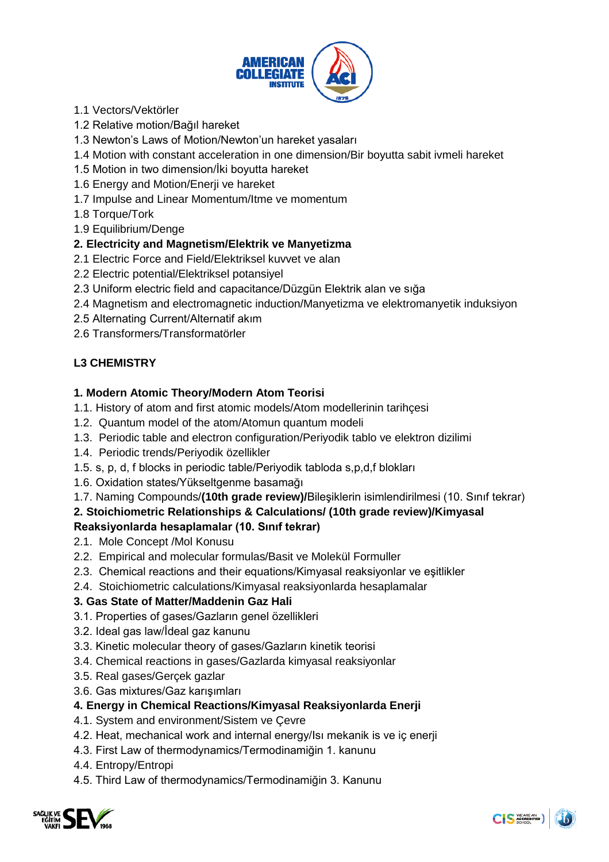

- 1.1 Vectors/Vektörler
- 1.2 Relative motion/Bağıl hareket
- 1.3 Newton's Laws of Motion/Newton'un hareket yasaları
- 1.4 Motion with constant acceleration in one dimension/Bir boyutta sabit ivmeli hareket
- 1.5 Motion in two dimension/İki boyutta hareket
- 1.6 Energy and Motion/Enerji ve hareket
- 1.7 Impulse and Linear Momentum/Itme ve momentum
- 1.8 Torque/Tork
- 1.9 Equilibrium/Denge

#### **2. Electricity and Magnetism/Elektrik ve Manyetizma**

- 2.1 Electric Force and Field/Elektriksel kuvvet ve alan
- 2.2 Electric potential/Elektriksel potansiyel
- 2.3 Uniform electric field and capacitance/Düzgün Elektrik alan ve sığa
- 2.4 Magnetism and electromagnetic induction/Manyetizma ve elektromanyetik induksiyon
- 2.5 Alternating Current/Alternatif akım
- 2.6 Transformers/Transformatörler

## **L3 CHEMISTRY**

#### **1. Modern Atomic Theory/Modern Atom Teorisi**

- 1.1. History of atom and first atomic models/Atom modellerinin tarihçesi
- 1.2. Quantum model of the atom/Atomun quantum modeli
- 1.3. Periodic table and electron configuration/Periyodik tablo ve elektron dizilimi
- 1.4. Periodic trends/Periyodik özellikler
- 1.5. s, p, d, f blocks in periodic table/Periyodik tabloda s,p,d,f blokları
- 1.6. Oxidation states/Yükseltgenme basamağı
- 1.7. Naming Compounds/**(10th grade review)/**Bileşiklerin isimlendirilmesi (10. Sınıf tekrar)

## **2. Stoichiometric Relationships & Calculations/ (10th grade review)/Kimyasal**

## **Reaksiyonlarda hesaplamalar (10. Sınıf tekrar)**

- 2.1.Mole Concept /Mol Konusu
- 2.2. Empirical and molecular formulas/Basit ve Molekül Formuller
- 2.3. Chemical reactions and their equations/Kimyasal reaksiyonlar ve eşitlikler
- 2.4. Stoichiometric calculations/Kimyasal reaksiyonlarda hesaplamalar

## **3. Gas State of Matter/Maddenin Gaz Hali**

- 3.1. Properties of gases/Gazların genel özellikleri
- 3.2. Ideal gas law/İdeal gaz kanunu
- 3.3. Kinetic molecular theory of gases/Gazların kinetik teorisi
- 3.4. Chemical reactions in gases/Gazlarda kimyasal reaksiyonlar
- 3.5. Real gases/Gerçek gazlar
- 3.6. Gas mixtures/Gaz karışımları

## **4. Energy in Chemical Reactions/Kimyasal Reaksiyonlarda Enerji**

- 4.1. System and environment/Sistem ve Çevre
- 4.2. Heat, mechanical work and internal energy/Isı mekanik is ve iç enerji
- 4.3. First Law of thermodynamics/Termodinamiğin 1. kanunu
- 4.4. Entropy/Entropi
- 4.5. Third Law of thermodynamics/Termodinamiğin 3. Kanunu

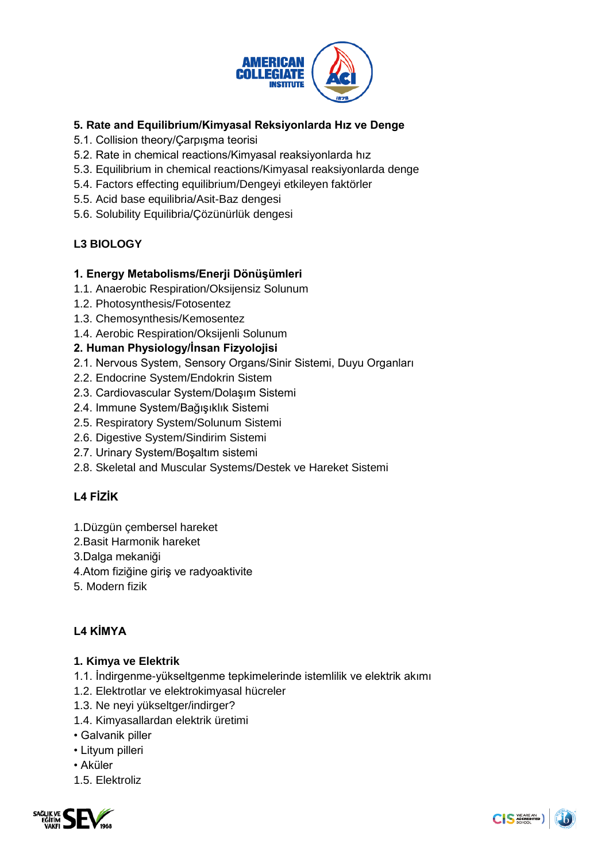

# **5. Rate and Equilibrium/Kimyasal Reksiyonlarda Hız ve Denge**

- 5.1. Collision theory/Çarpışma teorisi
- 5.2. Rate in chemical reactions/Kimyasal reaksiyonlarda hız
- 5.3. Equilibrium in chemical reactions/Kimyasal reaksiyonlarda denge
- 5.4. Factors effecting equilibrium/Dengeyi etkileyen faktörler
- 5.5. Acid base equilibria/Asit-Baz dengesi
- 5.6. Solubility Equilibria/Çözünürlük dengesi

# **L3 BIOLOGY**

#### **1. Energy Metabolisms/Enerji Dönüşümleri**

- 1.1. Anaerobic Respiration/Oksijensiz Solunum
- 1.2. Photosynthesis/Fotosentez
- 1.3. Chemosynthesis/Kemosentez
- 1.4. Aerobic Respiration/Oksijenli Solunum

#### **2. Human Physiology/İnsan Fizyolojisi**

- 2.1. Nervous System, Sensory Organs/Sinir Sistemi, Duyu Organları
- 2.2. Endocrine System/Endokrin Sistem
- 2.3. Cardiovascular System/Dolaşım Sistemi
- 2.4. Immune System/Bağışıklık Sistemi
- 2.5. Respiratory System/Solunum Sistemi
- 2.6. Digestive System/Sindirim Sistemi
- 2.7. Urinary System/Boşaltım sistemi
- 2.8. Skeletal and Muscular Systems/Destek ve Hareket Sistemi

# **L4 FİZİK**

- 1.Düzgün çembersel hareket
- 2.Basit Harmonik hareket
- 3.Dalga mekaniği
- 4.Atom fiziğine giriş ve radyoaktivite
- 5. Modern fizik

# **L4 KİMYA**

## **1. Kimya ve Elektrik**

- 1.1. İndirgenme-yükseltgenme tepkimelerinde istemlilik ve elektrik akımı
- 1.2. Elektrotlar ve elektrokimyasal hücreler
- 1.3. Ne neyi yükseltger/indirger?
- 1.4. Kimyasallardan elektrik üretimi
- Galvanik piller
- Lityum pilleri
- Aküler
- 1.5. Elektroliz

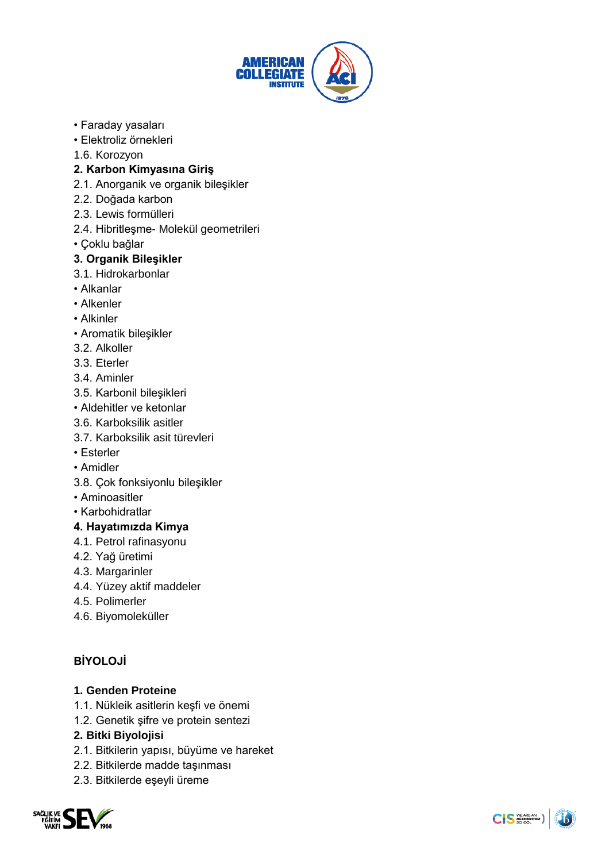

- Faraday yasaları
- Elektroliz örnekleri
- 1.6. Korozyon

## **2. Karbon Kimyasına Giriş**

- 2.1. Anorganik ve organik bileşikler
- 2.2. Doğada karbon
- 2.3. Lewis formülleri
- 2.4. Hibritleşme- Molekül geometrileri
- Çoklu bağlar

#### **3. Organik Bileşikler**

- 3.1. Hidrokarbonlar
- Alkanlar
- Alkenler
- Alkinler
- Aromatik bileşikler
- 3.2. Alkoller
- 3.3. Eterler
- 3.4. Aminler
- 3.5. Karbonil bileşikleri
- Aldehitler ve ketonlar
- 3.6. Karboksilik asitler
- 3.7. Karboksilik asit türevleri
- Esterler
- Amidler
- 3.8. Çok fonksiyonlu bileşikler
- Aminoasitler
- Karbohidratlar

## **4. Hayatımızda Kimya**

- 4.1. Petrol rafinasyonu
- 4.2. Yağ üretimi
- 4.3. Margarinler
- 4.4. Yüzey aktif maddeler
- 4.5. Polimerler
- 4.6. Biyomoleküller

# **BİYOLOJİ**

## **1. Genden Proteine**

- 1.1. Nükleik asitlerin keşfi ve önemi
- 1.2. Genetik şifre ve protein sentezi

## **2. Bitki Biyolojisi**

- 2.1. Bitkilerin yapısı, büyüme ve hareket
- 2.2. Bitkilerde madde taşınması
- 2.3. Bitkilerde eşeyli üreme

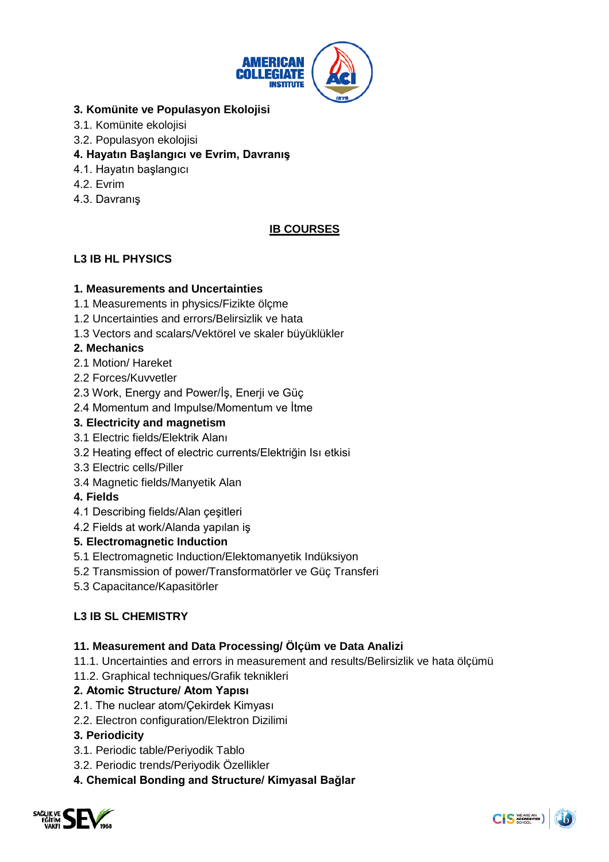

## **3. Komünite ve Populasyon Ekolojisi**

- 3.1. Komünite ekolojisi
- 3.2. Populasyon ekolojisi

## **4. Hayatın Başlangıcı ve Evrim, Davranış**

- 4.1. Hayatın başlangıcı
- 4.2. Evrim
- 4.3. Davranış

# **IB COURSES**

# **L3 IB HL PHYSICS**

## **1. Measurements and Uncertainties**

- 1.1 Measurements in physics/Fizikte ölçme
- 1.2 Uncertainties and errors/Belirsizlik ve hata
- 1.3 Vectors and scalars/Vektörel ve skaler büyüklükler

## **2. Mechanics**

- 2.1 Motion/ Hareket
- 2.2 Forces/Kuvvetler
- 2.3 Work, Energy and Power/İş, Enerji ve Güç
- 2.4 Momentum and Impulse/Momentum ve İtme

## **3. Electricity and magnetism**

- 3.1 Electric fields/Elektrik Alanı
- 3.2 Heating effect of electric currents/Elektriğin Isı etkisi
- 3.3 Electric cells/Piller
- 3.4 Magnetic fields/Manyetik Alan

## **4. Fields**

- 4.1 Describing fields/Alan çeşitleri
- 4.2 Fields at work/Alanda yapılan iş

## **5. Electromagnetic Induction**

- 5.1 Electromagnetic Induction/Elektomanyetik Indüksiyon
- 5.2 Transmission of power/Transformatörler ve Güç Transferi
- 5.3 Capacitance/Kapasitörler

# **L3 IB SL CHEMISTRY**

## **11. Measurement and Data Processing/ Ölçüm ve Data Analizi**

- 11.1. Uncertainties and errors in measurement and results/Belirsizlik ve hata ölçümü
- 11.2. Graphical techniques/Grafik teknikleri

## **2. Atomic Structure/ Atom Yapısı**

- 2.1. The nuclear atom/Çekirdek Kimyası
- 2.2. Electron configuration/Elektron Dizilimi

## **3. Periodicity**

- 3.1. Periodic table/Periyodik Tablo
- 3.2. Periodic trends/Periyodik Özellikler
- **4. Chemical Bonding and Structure/ Kimyasal Bağlar**

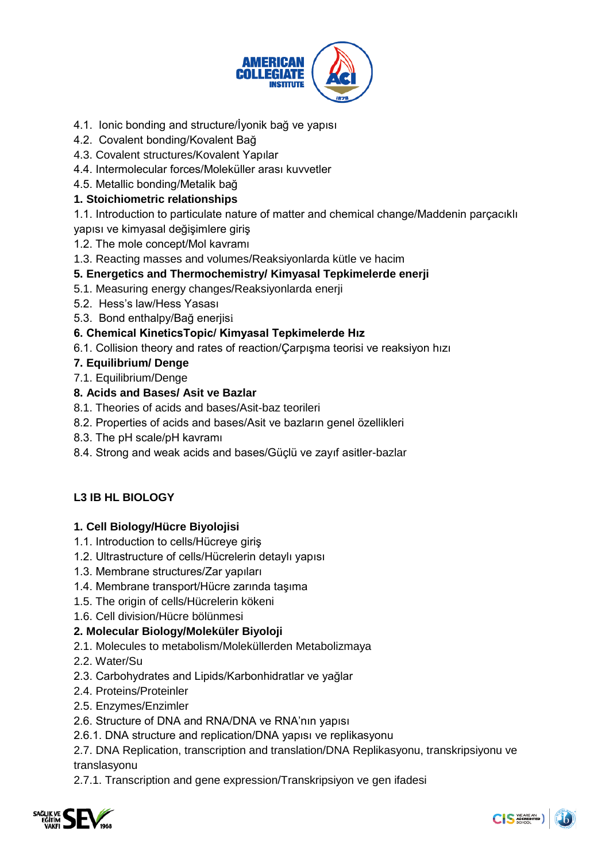

- 4.1. Ionic bonding and structure/İyonik bağ ve yapısı
- 4.2. Covalent bonding/Kovalent Bağ
- 4.3. Covalent structures/Kovalent Yapılar
- 4.4. Intermolecular forces/Moleküller arası kuvvetler
- 4.5. Metallic bonding/Metalik bağ

### **1. Stoichiometric relationships**

- 1.1. Introduction to particulate nature of matter and chemical change/Maddenin parçacıklı
- yapısı ve kimyasal değişimlere giriş
- 1.2. The mole concept/Mol kavramı
- 1.3. Reacting masses and volumes/Reaksiyonlarda kütle ve hacim

## **5. Energetics and Thermochemistry/ Kimyasal Tepkimelerde enerji**

- 5.1. Measuring energy changes/Reaksiyonlarda enerji
- 5.2. Hess's law/Hess Yasası
- 5.3. Bond enthalpy/Bağ enerjisi

## **6. Chemical KineticsTopic/ Kimyasal Tepkimelerde Hız**

6.1. Collision theory and rates of reaction/Çarpışma teorisi ve reaksiyon hızı

## **7. Equilibrium/ Denge**

7.1. Equilibrium/Denge

## **8. Acids and Bases/ Asit ve Bazlar**

- 8.1. Theories of acids and bases/Asit-baz teorileri
- 8.2. Properties of acids and bases/Asit ve bazların genel özellikleri
- 8.3. The pH scale/pH kavramı
- 8.4. Strong and weak acids and bases/Güçlü ve zayıf asitler-bazlar

## **L3 IB HL BIOLOGY**

#### **1. Cell Biology/Hücre Biyolojisi**

- 1.1. Introduction to cells/Hücreye giriş
- 1.2. Ultrastructure of cells/Hücrelerin detaylı yapısı
- 1.3. Membrane structures/Zar yapıları
- 1.4. Membrane transport/Hücre zarında taşıma
- 1.5. The origin of cells/Hücrelerin kökeni
- 1.6. Cell division/Hücre bölünmesi

## **2. Molecular Biology/Moleküler Biyoloji**

- 2.1. Molecules to metabolism/Moleküllerden Metabolizmaya
- 2.2. Water/Su
- 2.3. Carbohydrates and Lipids/Karbonhidratlar ve yağlar
- 2.4. Proteins/Proteinler
- 2.5. Enzymes/Enzimler
- 2.6. Structure of DNA and RNA/DNA ve RNA'nın yapısı
- 2.6.1. DNA structure and replication/DNA yapısı ve replikasyonu

2.7. DNA Replication, transcription and translation/DNA Replikasyonu, transkripsiyonu ve translasyonu

2.7.1. Transcription and gene expression/Transkripsiyon ve gen ifadesi

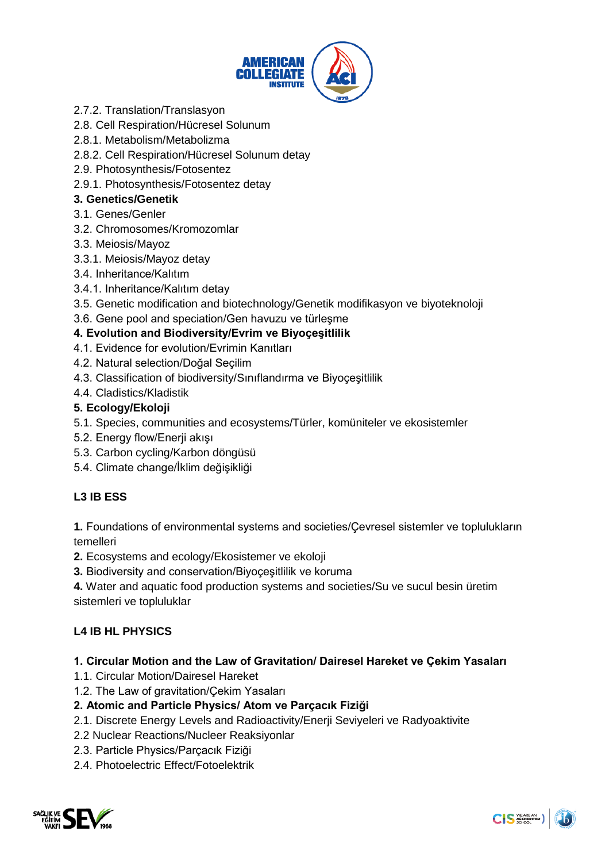

- 2.7.2. Translation/Translasyon
- 2.8. Cell Respiration/Hücresel Solunum
- 2.8.1. Metabolism/Metabolizma
- 2.8.2. Cell Respiration/Hücresel Solunum detay
- 2.9. Photosynthesis/Fotosentez
- 2.9.1. Photosynthesis/Fotosentez detay

## **3. Genetics/Genetik**

- 3.1. Genes/Genler
- 3.2. Chromosomes/Kromozomlar
- 3.3. Meiosis/Mayoz
- 3.3.1. Meiosis/Mayoz detay
- 3.4. Inheritance/Kalıtım
- 3.4.1. Inheritance/Kalıtım detay
- 3.5. Genetic modification and biotechnology/Genetik modifikasyon ve biyoteknoloji
- 3.6. Gene pool and speciation/Gen havuzu ve türleşme

# **4. Evolution and Biodiversity/Evrim ve Biyoçeşitlilik**

- 4.1. Evidence for evolution/Evrimin Kanıtları
- 4.2. Natural selection/Doğal Seçilim
- 4.3. Classification of biodiversity/Sınıflandırma ve Biyoçeşitlilik
- 4.4. Cladistics/Kladistik

## **5. Ecology/Ekoloji**

- 5.1. Species, communities and ecosystems/Türler, komüniteler ve ekosistemler
- 5.2. Energy flow/Enerji akışı
- 5.3. Carbon cycling/Karbon döngüsü
- 5.4. Climate change/İklim değişikliği

# **L3 IB ESS**

**1.** Foundations of environmental systems and societies/Çevresel sistemler ve toplulukların temelleri

- **2.** Ecosystems and ecology/Ekosistemer ve ekoloji
- **3.** Biodiversity and conservation/Biyoçeşitlilik ve koruma

**4.** Water and aquatic food production systems and societies/Su ve sucul besin üretim sistemleri ve topluluklar

# **L4 IB HL PHYSICS**

## **1. Circular Motion and the Law of Gravitation/ Dairesel Hareket ve Çekim Yasaları**

- 1.1. Circular Motion/Dairesel Hareket
- 1.2. The Law of gravitation/Çekim Yasaları

## **2. Atomic and Particle Physics/ Atom ve Parçacık Fiziği**

- 2.1. Discrete Energy Levels and Radioactivity/Enerji Seviyeleri ve Radyoaktivite
- 2.2 Nuclear Reactions/Nucleer Reaksiyonlar
- 2.3. Particle Physics/Parçacık Fiziği
- 2.4. Photoelectric Effect/Fotoelektrik

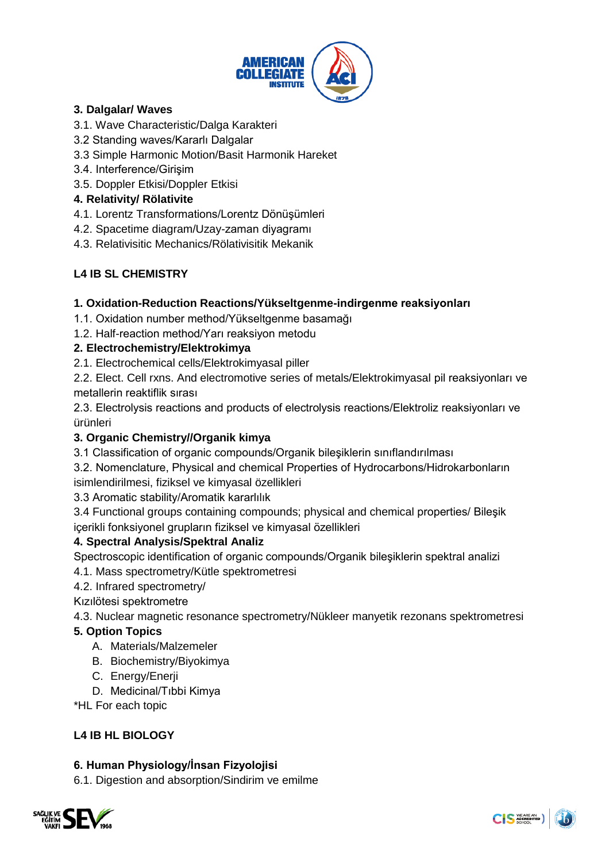

# **3. Dalgalar/ Waves**

- 3.1. Wave Characteristic/Dalga Karakteri
- 3.2 Standing waves/Kararlı Dalgalar
- 3.3 Simple Harmonic Motion/Basit Harmonik Hareket
- 3.4. Interference/Girişim
- 3.5. Doppler Etkisi/Doppler Etkisi

## **4. Relativity/ Rölativite**

- 4.1. Lorentz Transformations/Lorentz Dönüşümleri
- 4.2. Spacetime diagram/Uzay-zaman diyagramı
- 4.3. Relativisitic Mechanics/Rölativisitik Mekanik

# **L4 IB SL CHEMISTRY**

## **1. Oxidation-Reduction Reactions/Yükseltgenme-indirgenme reaksiyonları**

- 1.1. Oxidation number method/Yükseltgenme basamağı
- 1.2. Half-reaction method/Yarı reaksiyon metodu

# **2. Electrochemistry/Elektrokimya**

2.1. Electrochemical cells/Elektrokimyasal piller

2.2. Elect. Cell rxns. And electromotive series of metals/Elektrokimyasal pil reaksiyonları ve metallerin reaktiflik sırası

2.3. Electrolysis reactions and products of electrolysis reactions/Elektroliz reaksiyonları ve ürünleri

## **3. Organic Chemistry//Organik kimya**

- 3.1 Classification of organic compounds/Organik bileşiklerin sınıflandırılması
- 3.2. Nomenclature, Physical and chemical Properties of Hydrocarbons/Hidrokarbonların

isimlendirilmesi, fiziksel ve kimyasal özellikleri

3.3 Aromatic stability/Aromatik kararlılık

3.4 Functional groups containing compounds; physical and chemical properties/ Bileşik içerikli fonksiyonel grupların fiziksel ve kimyasal özellikleri

## **4. Spectral Analysis/Spektral Analiz**

Spectroscopic identification of organic compounds/Organik bileşiklerin spektral analizi 4.1. Mass spectrometry/Kütle spektrometresi

4.2. Infrared spectrometry/

Kızılötesi spektrometre

4.3. Nuclear magnetic resonance spectrometry/Nükleer manyetik rezonans spektrometresi

# **5. Option Topics**

- A. Materials/Malzemeler
- B. Biochemistry/Biyokimya
- C. Energy/Enerji
- D. Medicinal/Tıbbi Kimya

\*HL For each topic

# **L4 IB HL BIOLOGY**

## **6. Human Physiology/İnsan Fizyolojisi**

6.1. Digestion and absorption/Sindirim ve emilme